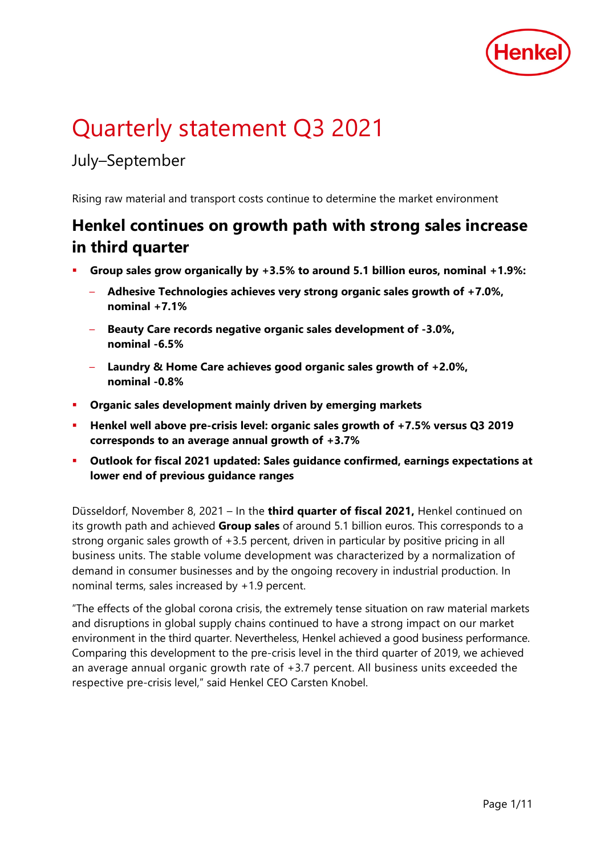

# Quarterly statement Q3 2021

## July–September

Rising raw material and transport costs continue to determine the market environment

## **Henkel continues on growth path with strong sales increase in third quarter**

- **Group sales grow organically by +3.5% to around 5.1 billion euros, nominal +1.9%:** 
	- **Adhesive Technologies achieves very strong organic sales growth of +7.0%, nominal +7.1%**
	- **Beauty Care records negative organic sales development of -3.0%, nominal -6.5%**
	- **Laundry & Home Care achieves good organic sales growth of +2.0%, nominal -0.8%**
- **Organic sales development mainly driven by emerging markets**
- **Henkel well above pre-crisis level: organic sales growth of +7.5% versus Q3 2019 corresponds to an average annual growth of +3.7%**
- **Outlook for fiscal 2021 updated: Sales guidance confirmed, earnings expectations at lower end of previous guidance ranges**

Düsseldorf, November 8, 2021 – In the **third quarter of fiscal 2021,** Henkel continued on its growth path and achieved **Group sales** of around 5.1 billion euros. This corresponds to a strong organic sales growth of +3.5 percent, driven in particular by positive pricing in all business units. The stable volume development was characterized by a normalization of demand in consumer businesses and by the ongoing recovery in industrial production. In nominal terms, sales increased by +1.9 percent.

"The effects of the global corona crisis, the extremely tense situation on raw material markets and disruptions in global supply chains continued to have a strong impact on our market environment in the third quarter. Nevertheless, Henkel achieved a good business performance. Comparing this development to the pre-crisis level in the third quarter of 2019, we achieved an average annual organic growth rate of +3.7 percent. All business units exceeded the respective pre-crisis level," said Henkel CEO Carsten Knobel.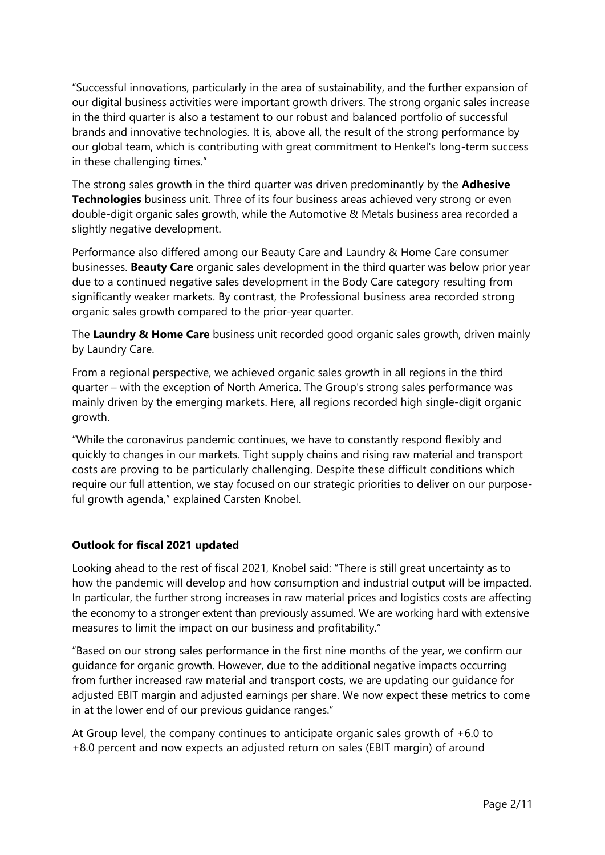"Successful innovations, particularly in the area of sustainability, and the further expansion of our digital business activities were important growth drivers. The strong organic sales increase in the third quarter is also a testament to our robust and balanced portfolio of successful brands and innovative technologies. It is, above all, the result of the strong performance by our global team, which is contributing with great commitment to Henkel's long-term success in these challenging times."

The strong sales growth in the third quarter was driven predominantly by the **Adhesive Technologies** business unit. Three of its four business areas achieved very strong or even double-digit organic sales growth, while the Automotive & Metals business area recorded a slightly negative development.

Performance also differed among our Beauty Care and Laundry & Home Care consumer businesses. **Beauty Care** organic sales development in the third quarter was below prior year due to a continued negative sales development in the Body Care category resulting from significantly weaker markets. By contrast, the Professional business area recorded strong organic sales growth compared to the prior-year quarter.

The **Laundry & Home Care** business unit recorded good organic sales growth, driven mainly by Laundry Care.

From a regional perspective, we achieved organic sales growth in all regions in the third quarter – with the exception of North America. The Group's strong sales performance was mainly driven by the emerging markets. Here, all regions recorded high single-digit organic growth.

"While the coronavirus pandemic continues, we have to constantly respond flexibly and quickly to changes in our markets. Tight supply chains and rising raw material and transport costs are proving to be particularly challenging. Despite these difficult conditions which require our full attention, we stay focused on our strategic priorities to deliver on our purposeful growth agenda," explained Carsten Knobel.

#### **Outlook for fiscal 2021 updated**

Looking ahead to the rest of fiscal 2021, Knobel said: "There is still great uncertainty as to how the pandemic will develop and how consumption and industrial output will be impacted. In particular, the further strong increases in raw material prices and logistics costs are affecting the economy to a stronger extent than previously assumed. We are working hard with extensive measures to limit the impact on our business and profitability."

"Based on our strong sales performance in the first nine months of the year, we confirm our guidance for organic growth. However, due to the additional negative impacts occurring from further increased raw material and transport costs, we are updating our guidance for adjusted EBIT margin and adjusted earnings per share. We now expect these metrics to come in at the lower end of our previous guidance ranges."

At Group level, the company continues to anticipate organic sales growth of +6.0 to +8.0 percent and now expects an adjusted return on sales (EBIT margin) of around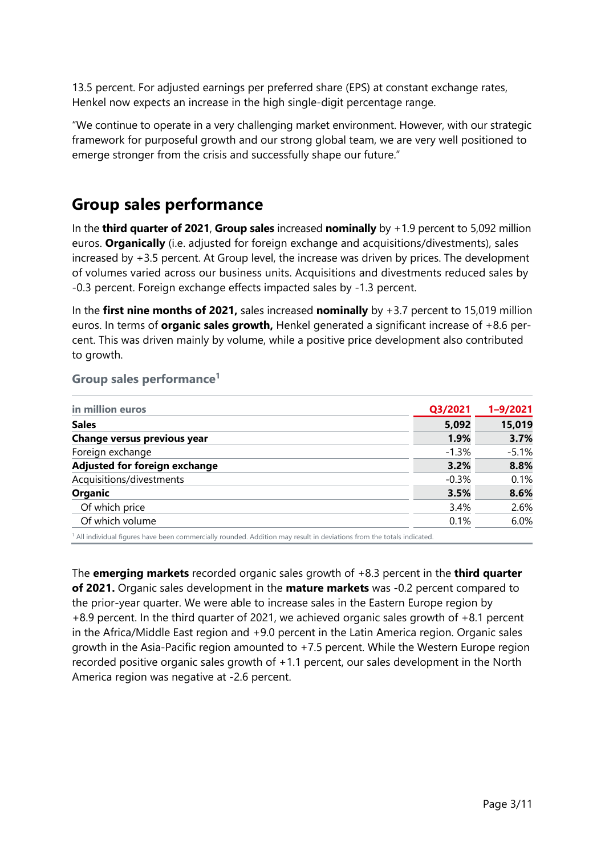13.5 percent. For adjusted earnings per preferred share (EPS) at constant exchange rates, Henkel now expects an increase in the high single-digit percentage range.

"We continue to operate in a very challenging market environment. However, with our strategic framework for purposeful growth and our strong global team, we are very well positioned to emerge stronger from the crisis and successfully shape our future."

#### **Group sales performance**

In the **third quarter of 2021**, **Group sales** increased **nominally** by +1.9 percent to 5,092 million euros. **Organically** (i.e. adjusted for foreign exchange and acquisitions/divestments), sales increased by +3.5 percent. At Group level, the increase was driven by prices. The development of volumes varied across our business units. Acquisitions and divestments reduced sales by -0.3 percent. Foreign exchange effects impacted sales by -1.3 percent.

In the **first nine months of 2021,** sales increased **nominally** by +3.7 percent to 15,019 million euros. In terms of **organic sales growth,** Henkel generated a significant increase of +8.6 percent. This was driven mainly by volume, while a positive price development also contributed to growth.

#### **Group sales performance1**

| in million euros              | Q3/2021  | $1 - 9/2021$ |
|-------------------------------|----------|--------------|
| <b>Sales</b>                  | 5,092    | 15,019       |
| Change versus previous year   | 1.9%     | 3.7%         |
| Foreign exchange              | $-1.3\%$ | $-5.1%$      |
| Adjusted for foreign exchange | 3.2%     | 8.8%         |
| Acquisitions/divestments      | $-0.3%$  | 0.1%         |
| <b>Organic</b>                | 3.5%     | 8.6%         |
| Of which price                | 3.4%     | 2.6%         |
| Of which volume               | 0.1%     | 6.0%         |

All individual figures have been commercially rounded. Addition may result in deviations from the totals indicated

The **emerging markets** recorded organic sales growth of +8.3 percent in the **third quarter of 2021.** Organic sales development in the **mature markets** was -0.2 percent compared to the prior-year quarter. We were able to increase sales in the Eastern Europe region by +8.9 percent. In the third quarter of 2021, we achieved organic sales growth of +8.1 percent in the Africa/Middle East region and +9.0 percent in the Latin America region. Organic sales growth in the Asia-Pacific region amounted to +7.5 percent. While the Western Europe region recorded positive organic sales growth of +1.1 percent, our sales development in the North America region was negative at -2.6 percent.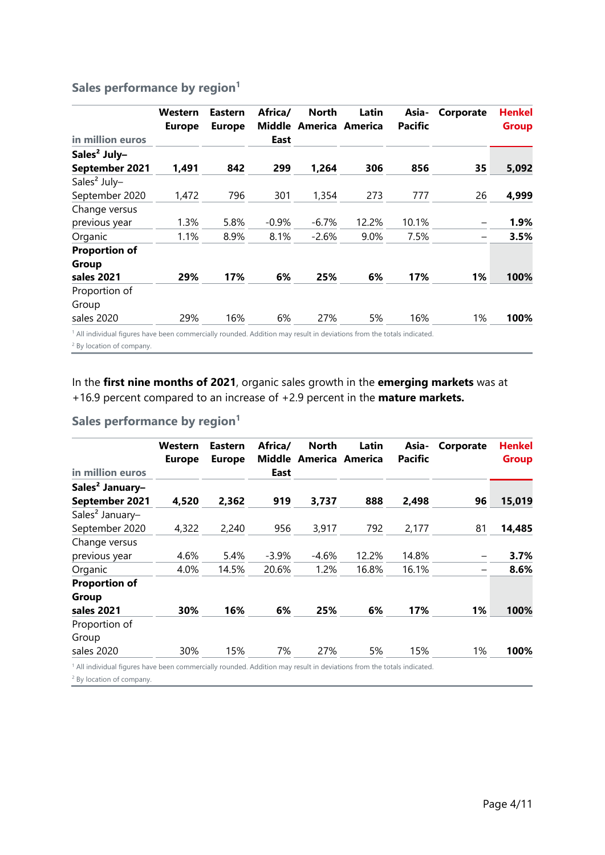#### **Sales performance by region<sup>1</sup>**

|                          | Western<br><b>Europe</b> | <b>Eastern</b><br><b>Europe</b> | Africa/ | <b>North</b><br>Middle America America | Latin | Asia-<br><b>Pacific</b> | Corporate       | <b>Henkel</b><br><b>Group</b> |
|--------------------------|--------------------------|---------------------------------|---------|----------------------------------------|-------|-------------------------|-----------------|-------------------------------|
| in million euros         |                          |                                 | East    |                                        |       |                         |                 |                               |
| Sales <sup>2</sup> July- |                          |                                 |         |                                        |       |                         |                 |                               |
| September 2021           | 1,491                    | 842                             | 299     | 1,264                                  | 306   | 856                     | 35              | 5,092                         |
| Sales <sup>2</sup> July- |                          |                                 |         |                                        |       |                         |                 |                               |
| September 2020           | 1,472                    | 796                             | 301     | 1,354                                  | 273   | 777                     | 26              | 4,999                         |
| Change versus            |                          |                                 |         |                                        |       |                         |                 |                               |
| previous year            | 1.3%                     | 5.8%                            | $-0.9%$ | $-6.7%$                                | 12.2% | 10.1%                   | $\qquad \qquad$ | 1.9%                          |
| Organic                  | 1.1%                     | 8.9%                            | 8.1%    | $-2.6%$                                | 9.0%  | 7.5%                    | $\qquad \qquad$ | 3.5%                          |
| <b>Proportion of</b>     |                          |                                 |         |                                        |       |                         |                 |                               |
| Group                    |                          |                                 |         |                                        |       |                         |                 |                               |
| sales 2021               | 29%                      | 17%                             | 6%      | 25%                                    | 6%    | 17%                     | 1%              | 100%                          |
| Proportion of            |                          |                                 |         |                                        |       |                         |                 |                               |
| Group                    |                          |                                 |         |                                        |       |                         |                 |                               |
| sales 2020               | 29%                      | 16%                             | 6%      | 27%                                    | 5%    | 16%                     | 1%              | 100%                          |

<sup>1</sup> All individual figures have been commercially rounded. Addition may result in deviations from the totals indicated.

<sup>2</sup> By location of company.

In the **first nine months of 2021**, organic sales growth in the **emerging markets** was at +16.9 percent compared to an increase of +2.9 percent in the **mature markets.**

#### **Sales performance by region<sup>1</sup>**

|                                                                                                                                | Western<br><b>Europe</b> | <b>Eastern</b><br><b>Europe</b> | Africa/<br>Middle | <b>North</b> | Latin<br>America America | Asia-<br><b>Pacific</b> | Corporate | Henkel<br><b>Group</b> |
|--------------------------------------------------------------------------------------------------------------------------------|--------------------------|---------------------------------|-------------------|--------------|--------------------------|-------------------------|-----------|------------------------|
| in million euros                                                                                                               |                          |                                 | East              |              |                          |                         |           |                        |
| Sales <sup>2</sup> January-                                                                                                    |                          |                                 |                   |              |                          |                         |           |                        |
| September 2021                                                                                                                 | 4,520                    | 2,362                           | 919               | 3,737        | 888                      | 2,498                   | 96        | 15,019                 |
| Sales <sup>2</sup> January-                                                                                                    |                          |                                 |                   |              |                          |                         |           |                        |
| September 2020                                                                                                                 | 4,322                    | 2,240                           | 956               | 3,917        | 792                      | 2,177                   | 81        | 14,485                 |
| Change versus                                                                                                                  |                          |                                 |                   |              |                          |                         |           |                        |
| previous year                                                                                                                  | 4.6%                     | 5.4%                            | $-3.9%$           | $-4.6%$      | 12.2%                    | 14.8%                   | —         | 3.7%                   |
| Organic                                                                                                                        | 4.0%                     | 14.5%                           | 20.6%             | 1.2%         | 16.8%                    | 16.1%                   | —         | 8.6%                   |
| <b>Proportion of</b><br>Group                                                                                                  |                          |                                 |                   |              |                          |                         |           |                        |
| sales 2021                                                                                                                     | 30%                      | 16%                             | 6%                | 25%          | 6%                       | 17%                     | 1%        | 100%                   |
| Proportion of                                                                                                                  |                          |                                 |                   |              |                          |                         |           |                        |
| Group                                                                                                                          |                          |                                 |                   |              |                          |                         |           |                        |
| sales 2020                                                                                                                     | 30%                      | 15%                             | 7%                | 27%          | 5%                       | 15%                     | 1%        | 100%                   |
| $^{\rm 1}$ All individual figures have been commercially rounded. Addition may result in deviations from the totals indicated. |                          |                                 |                   |              |                          |                         |           |                        |

<sup>2</sup> By location of company.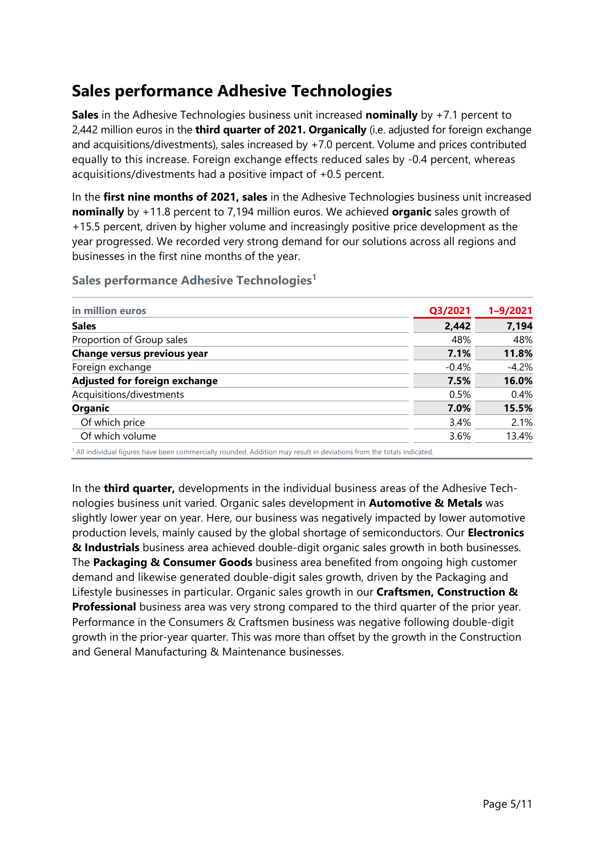## **Sales performance Adhesive Technologies**

**Sales** in the Adhesive Technologies business unit increased **nominally** by +7.1 percent to 2,442 million euros in the **third quarter of 2021. Organically** (i.e. adjusted for foreign exchange and acquisitions/divestments), sales increased by +7.0 percent. Volume and prices contributed equally to this increase. Foreign exchange effects reduced sales by -0.4 percent, whereas acquisitions/divestments had a positive impact of +0.5 percent.

In the **first nine months of 2021, sales** in the Adhesive Technologies business unit increased **nominally** by +11.8 percent to 7,194 million euros. We achieved **organic** sales growth of +15.5 percent, driven by higher volume and increasingly positive price development as the year progressed. We recorded very strong demand for our solutions across all regions and businesses in the first nine months of the year.

#### **Sales performance Adhesive Technologies1**

| Q3/2021 | $1 - 9/2021$ |
|---------|--------------|
| 2,442   | 7,194        |
| 48%     | 48%          |
| 7.1%    | 11.8%        |
| $-0.4%$ | $-4.2%$      |
| 7.5%    | 16.0%        |
| 0.5%    | 0.4%         |
| 7.0%    | 15.5%        |
| 3.4%    | 2.1%         |
| 3.6%    | 13.4%        |
|         |              |

In the **third quarter,** developments in the individual business areas of the Adhesive Technologies business unit varied. Organic sales development in **Automotive & Metals** was slightly lower year on year. Here, our business was negatively impacted by lower automotive production levels, mainly caused by the global shortage of semiconductors. Our **Electronics & Industrials** business area achieved double-digit organic sales growth in both businesses. The **Packaging & Consumer Goods** business area benefited from ongoing high customer demand and likewise generated double-digit sales growth, driven by the Packaging and Lifestyle businesses in particular. Organic sales growth in our **Craftsmen, Construction & Professional** business area was very strong compared to the third quarter of the prior year. Performance in the Consumers & Craftsmen business was negative following double-digit growth in the prior-year quarter. This was more than offset by the growth in the Construction and General Manufacturing & Maintenance businesses.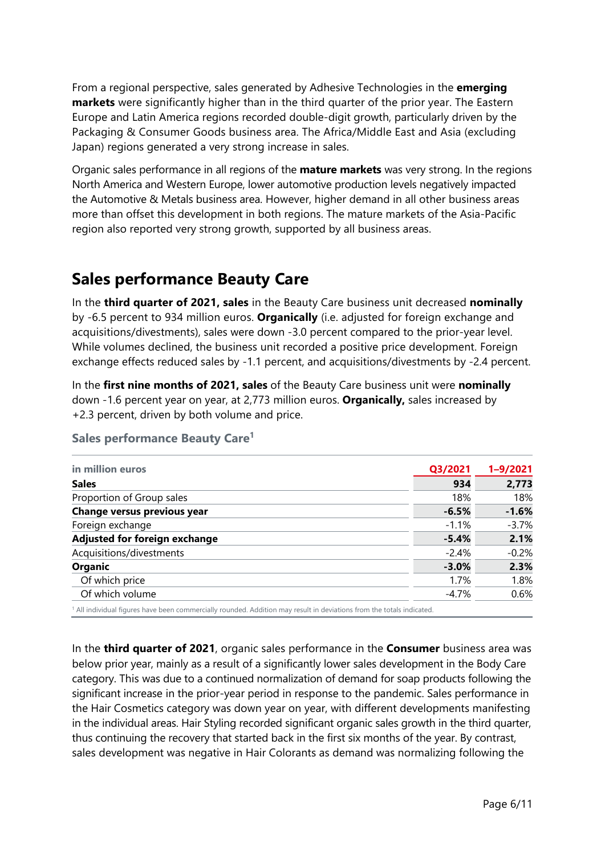From a regional perspective, sales generated by Adhesive Technologies in the **emerging markets** were significantly higher than in the third quarter of the prior year. The Eastern Europe and Latin America regions recorded double-digit growth, particularly driven by the Packaging & Consumer Goods business area. The Africa/Middle East and Asia (excluding Japan) regions generated a very strong increase in sales.

Organic sales performance in all regions of the **mature markets** was very strong. In the regions North America and Western Europe, lower automotive production levels negatively impacted the Automotive & Metals business area. However, higher demand in all other business areas more than offset this development in both regions. The mature markets of the Asia-Pacific region also reported very strong growth, supported by all business areas.

## **Sales performance Beauty Care**

In the **third quarter of 2021, sales** in the Beauty Care business unit decreased **nominally** by -6.5 percent to 934 million euros. **Organically** (i.e. adjusted for foreign exchange and acquisitions/divestments), sales were down -3.0 percent compared to the prior-year level. While volumes declined, the business unit recorded a positive price development. Foreign exchange effects reduced sales by -1.1 percent, and acquisitions/divestments by -2.4 percent.

In the **first nine months of 2021, sales** of the Beauty Care business unit were **nominally** down -1.6 percent year on year, at 2,773 million euros. **Organically,** sales increased by +2.3 percent, driven by both volume and price.

| in million euros              | Q3/2021 | $1 - 9/2021$ |
|-------------------------------|---------|--------------|
| <b>Sales</b>                  | 934     | 2,773        |
| Proportion of Group sales     | 18%     | 18%          |
| Change versus previous year   | $-6.5%$ | $-1.6%$      |
| Foreign exchange              | $-1.1%$ | $-3.7%$      |
| Adjusted for foreign exchange | $-5.4%$ | 2.1%         |
| Acquisitions/divestments      | $-2.4%$ | $-0.2%$      |
| <b>Organic</b>                | $-3.0%$ | 2.3%         |
| Of which price                | 1.7%    | 1.8%         |
| Of which volume               | -4.7%   | 0.6%         |

#### **Sales performance Beauty Care1**

In the **third quarter of 2021**, organic sales performance in the **Consumer** business area was below prior year, mainly as a result of a significantly lower sales development in the Body Care category. This was due to a continued normalization of demand for soap products following the significant increase in the prior-year period in response to the pandemic. Sales performance in the Hair Cosmetics category was down year on year, with different developments manifesting in the individual areas. Hair Styling recorded significant organic sales growth in the third quarter, thus continuing the recovery that started back in the first six months of the year. By contrast, sales development was negative in Hair Colorants as demand was normalizing following the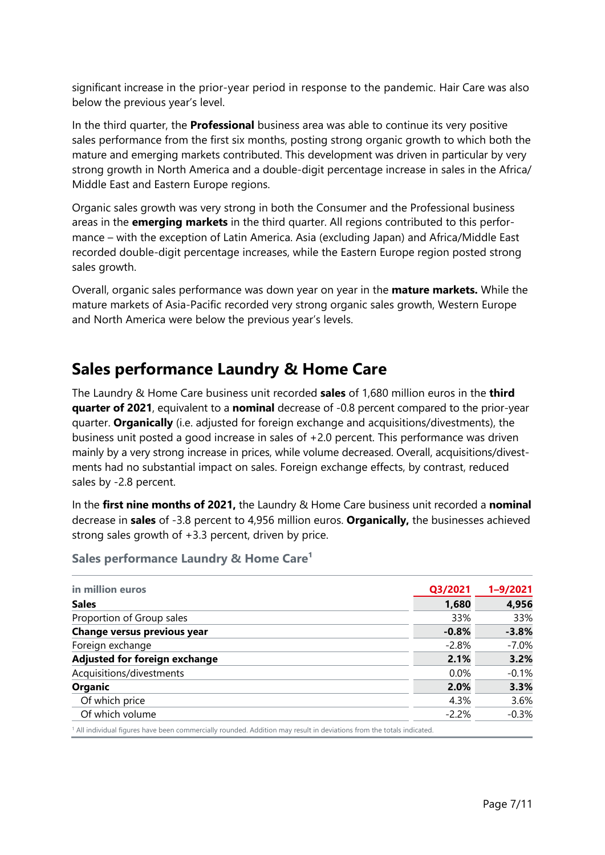significant increase in the prior-year period in response to the pandemic. Hair Care was also below the previous year's level.

In the third quarter, the **Professional** business area was able to continue its very positive sales performance from the first six months, posting strong organic growth to which both the mature and emerging markets contributed. This development was driven in particular by very strong growth in North America and a double-digit percentage increase in sales in the Africa/ Middle East and Eastern Europe regions.

Organic sales growth was very strong in both the Consumer and the Professional business areas in the **emerging markets** in the third quarter. All regions contributed to this performance – with the exception of Latin America. Asia (excluding Japan) and Africa/Middle East recorded double-digit percentage increases, while the Eastern Europe region posted strong sales growth.

Overall, organic sales performance was down year on year in the **mature markets.** While the mature markets of Asia-Pacific recorded very strong organic sales growth, Western Europe and North America were below the previous year's levels.

## **Sales performance Laundry & Home Care**

The Laundry & Home Care business unit recorded **sales** of 1,680 million euros in the **third quarter of 2021**, equivalent to a **nominal** decrease of -0.8 percent compared to the prior-year quarter. **Organically** (i.e. adjusted for foreign exchange and acquisitions/divestments), the business unit posted a good increase in sales of +2.0 percent. This performance was driven mainly by a very strong increase in prices, while volume decreased. Overall, acquisitions/divestments had no substantial impact on sales. Foreign exchange effects, by contrast, reduced sales by -2.8 percent.

In the **first nine months of 2021**, the Laundry & Home Care business unit recorded a **nominal** decrease in **sales** of -3.8 percent to 4,956 million euros. **Organically,** the businesses achieved strong sales growth of +3.3 percent, driven by price.

| in million euros              | Q3/2021 | $1 - 9/2021$ |
|-------------------------------|---------|--------------|
| <b>Sales</b>                  | 1,680   | 4,956        |
| Proportion of Group sales     | 33%     | 33%          |
| Change versus previous year   | $-0.8%$ | $-3.8%$      |
| Foreign exchange              | $-2.8%$ | $-7.0%$      |
| Adjusted for foreign exchange | 2.1%    | 3.2%         |
| Acquisitions/divestments      | 0.0%    | $-0.1%$      |
| <b>Organic</b>                | 2.0%    | 3.3%         |
| Of which price                | 4.3%    | 3.6%         |
| Of which volume               | $-2.2%$ | $-0.3%$      |

**Sales performance Laundry & Home Care<sup>1</sup>**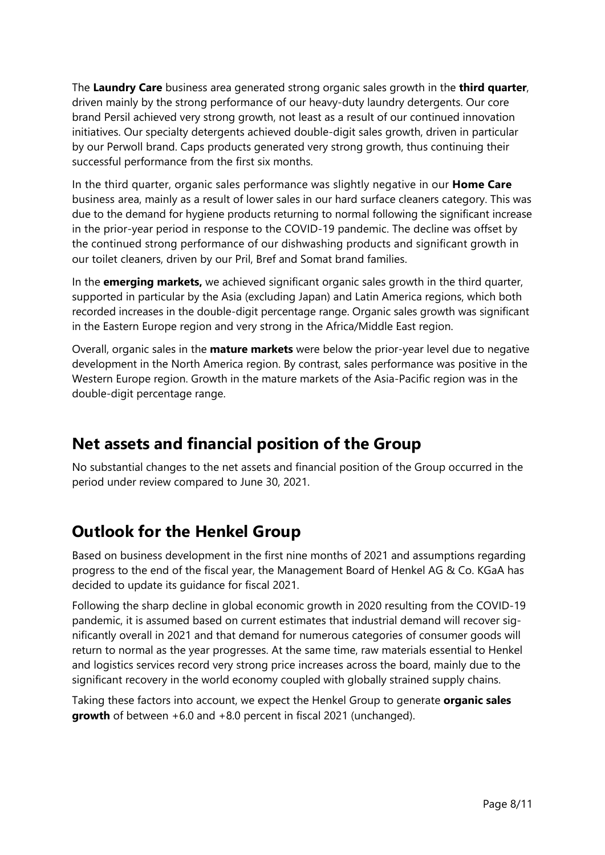The **Laundry Care** business area generated strong organic sales growth in the **third quarter**, driven mainly by the strong performance of our heavy-duty laundry detergents. Our core brand Persil achieved very strong growth, not least as a result of our continued innovation initiatives. Our specialty detergents achieved double-digit sales growth, driven in particular by our Perwoll brand. Caps products generated very strong growth, thus continuing their successful performance from the first six months.

In the third quarter, organic sales performance was slightly negative in our **Home Care** business area, mainly as a result of lower sales in our hard surface cleaners category. This was due to the demand for hygiene products returning to normal following the significant increase in the prior-year period in response to the COVID-19 pandemic. The decline was offset by the continued strong performance of our dishwashing products and significant growth in our toilet cleaners, driven by our Pril, Bref and Somat brand families.

In the **emerging markets,** we achieved significant organic sales growth in the third quarter, supported in particular by the Asia (excluding Japan) and Latin America regions, which both recorded increases in the double-digit percentage range. Organic sales growth was significant in the Eastern Europe region and very strong in the Africa/Middle East region.

Overall, organic sales in the **mature markets** were below the prior-year level due to negative development in the North America region. By contrast, sales performance was positive in the Western Europe region. Growth in the mature markets of the Asia-Pacific region was in the double-digit percentage range.

## **Net assets and financial position of the Group**

No substantial changes to the net assets and financial position of the Group occurred in the period under review compared to June 30, 2021.

## **Outlook for the Henkel Group**

Based on business development in the first nine months of 2021 and assumptions regarding progress to the end of the fiscal year, the Management Board of Henkel AG & Co. KGaA has decided to update its guidance for fiscal 2021.

Following the sharp decline in global economic growth in 2020 resulting from the COVID-19 pandemic, it is assumed based on current estimates that industrial demand will recover significantly overall in 2021 and that demand for numerous categories of consumer goods will return to normal as the year progresses. At the same time, raw materials essential to Henkel and logistics services record very strong price increases across the board, mainly due to the significant recovery in the world economy coupled with globally strained supply chains.

Taking these factors into account, we expect the Henkel Group to generate **organic sales growth** of between +6.0 and +8.0 percent in fiscal 2021 (unchanged).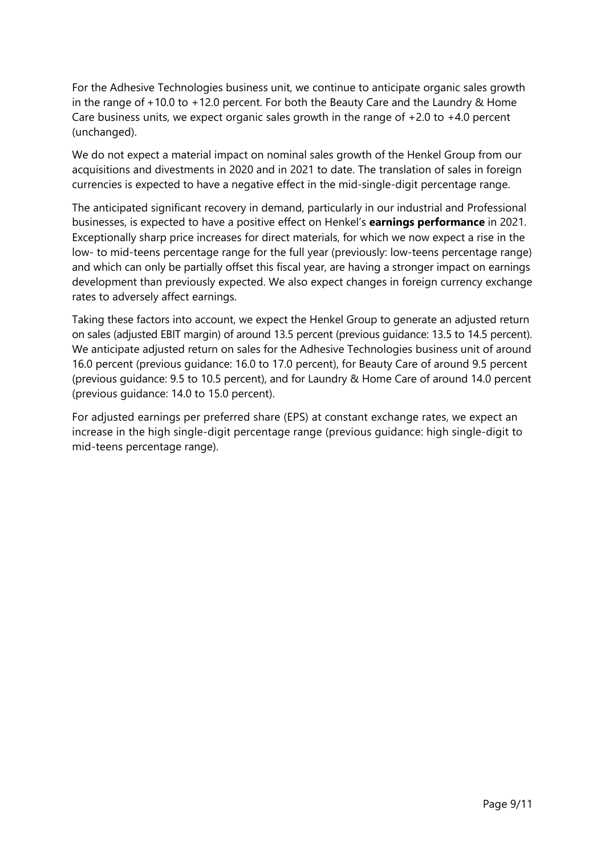For the Adhesive Technologies business unit, we continue to anticipate organic sales growth in the range of  $+10.0$  to  $+12.0$  percent. For both the Beauty Care and the Laundry & Home Care business units, we expect organic sales growth in the range of  $+2.0$  to  $+4.0$  percent (unchanged).

We do not expect a material impact on nominal sales growth of the Henkel Group from our acquisitions and divestments in 2020 and in 2021 to date. The translation of sales in foreign currencies is expected to have a negative effect in the mid-single-digit percentage range.

The anticipated significant recovery in demand, particularly in our industrial and Professional businesses, is expected to have a positive effect on Henkel's **earnings performance** in 2021. Exceptionally sharp price increases for direct materials, for which we now expect a rise in the low- to mid-teens percentage range for the full year (previously: low-teens percentage range) and which can only be partially offset this fiscal year, are having a stronger impact on earnings development than previously expected. We also expect changes in foreign currency exchange rates to adversely affect earnings.

Taking these factors into account, we expect the Henkel Group to generate an adjusted return on sales (adjusted EBIT margin) of around 13.5 percent (previous guidance: 13.5 to 14.5 percent). We anticipate adjusted return on sales for the Adhesive Technologies business unit of around 16.0 percent (previous guidance: 16.0 to 17.0 percent), for Beauty Care of around 9.5 percent (previous guidance: 9.5 to 10.5 percent), and for Laundry & Home Care of around 14.0 percent (previous guidance: 14.0 to 15.0 percent).

For adjusted earnings per preferred share (EPS) at constant exchange rates, we expect an increase in the high single-digit percentage range (previous guidance: high single-digit to mid-teens percentage range).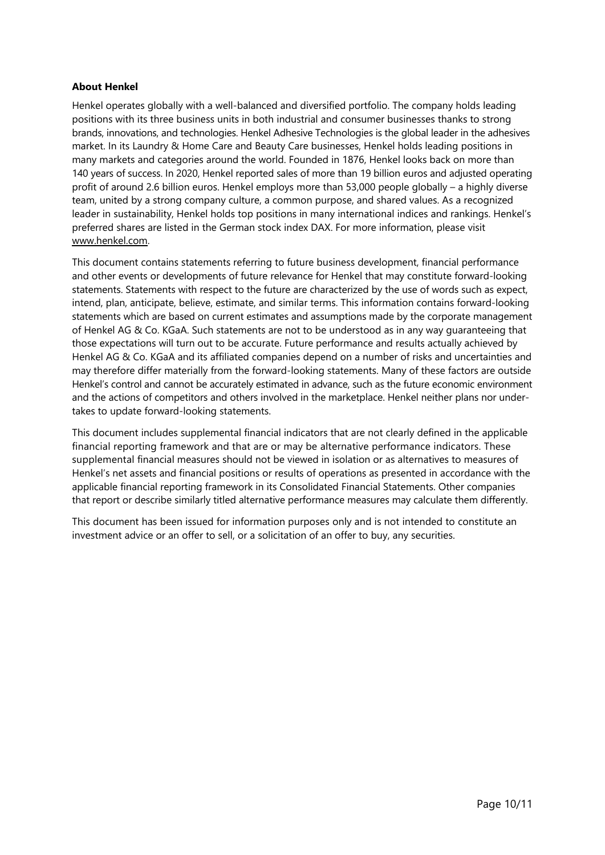#### **About Henkel**

Henkel operates globally with a well-balanced and diversified portfolio. The company holds leading positions with its three business units in both industrial and consumer businesses thanks to strong brands, innovations, and technologies. Henkel Adhesive Technologies is the global leader in the adhesives market. In its Laundry & Home Care and Beauty Care businesses, Henkel holds leading positions in many markets and categories around the world. Founded in 1876, Henkel looks back on more than 140 years of success. In 2020, Henkel reported sales of more than 19 billion euros and adjusted operating profit of around 2.6 billion euros. Henkel employs more than 53,000 people globally – a highly diverse team, united by a strong company culture, a common purpose, and shared values. As a recognized leader in sustainability, Henkel holds top positions in many international indices and rankings. Henkel's preferred shares are listed in the German stock index DAX. For more information, please visit www.henkel.com.

This document contains statements referring to future business development, financial performance and other events or developments of future relevance for Henkel that may constitute forward-looking statements. Statements with respect to the future are characterized by the use of words such as expect, intend, plan, anticipate, believe, estimate, and similar terms. This information contains forward-looking statements which are based on current estimates and assumptions made by the corporate management of Henkel AG & Co. KGaA. Such statements are not to be understood as in any way guaranteeing that those expectations will turn out to be accurate. Future performance and results actually achieved by Henkel AG & Co. KGaA and its affiliated companies depend on a number of risks and uncertainties and may therefore differ materially from the forward-looking statements. Many of these factors are outside Henkel's control and cannot be accurately estimated in advance, such as the future economic environment and the actions of competitors and others involved in the marketplace. Henkel neither plans nor undertakes to update forward-looking statements.

This document includes supplemental financial indicators that are not clearly defined in the applicable financial reporting framework and that are or may be alternative performance indicators. These supplemental financial measures should not be viewed in isolation or as alternatives to measures of Henkel's net assets and financial positions or results of operations as presented in accordance with the applicable financial reporting framework in its Consolidated Financial Statements. Other companies that report or describe similarly titled alternative performance measures may calculate them differently.

This document has been issued for information purposes only and is not intended to constitute an investment advice or an offer to sell, or a solicitation of an offer to buy, any securities.